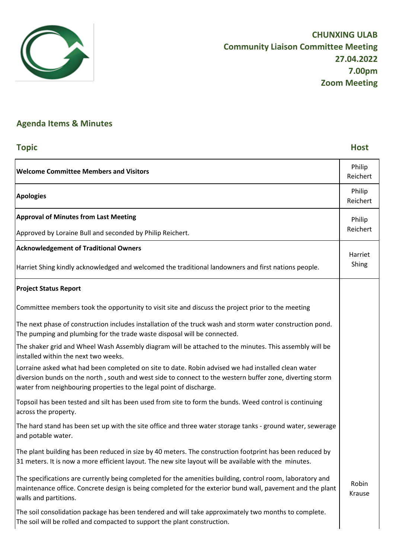

## **Agenda Items & Minutes**

## **Topic Host Welcome Committee Members and Visitors Philip Philip Philip Philip Philip Philip** Reichert **Apologies** Philip Reichert **Approval of Minutes from Last Meeting**  Approved by Loraine Bull and seconded by Philip Reichert. **Acknowledgement of Traditional Owners** Harriet Shing kindly acknowledged and welcomed the traditional landowners and first nations people. **Project Status Report** Committee members took the opportunity to visit site and discuss the project prior to the meeting The next phase of construction includes installation of the truck wash and storm water construction pond. The pumping and plumbing for the trade waste disposal will be connected. The shaker grid and Wheel Wash Assembly diagram will be attached to the minutes. This assembly will be installed within the next two weeks. Lorraine asked what had been completed on site to date. Robin advised we had installed clean water diversion bunds on the north , south and west side to connect to the western buffer zone, diverting storm water from neighbouring properties to the legal point of discharge. Topsoil has been tested and silt has been used from site to form the bunds. Weed control is continuing across the property. The hard stand has been set up with the site office and three water storage tanks - ground water, sewerage and potable water. The plant building has been reduced in size by 40 meters. The construction footprint has been reduced by 31 meters. It is now a more efficient layout. The new site layout will be available with the minutes. The specifications are currently being completed for the amenities building, control room, laboratory and maintenance office. Concrete design is being completed for the exterior bund wall, pavement and the plant walls and partitions. The soil consolidation package has been tendered and will take approximately two months to complete. The soil will be rolled and compacted to support the plant construction. Philip Reichert Harriet Shing Robin Krause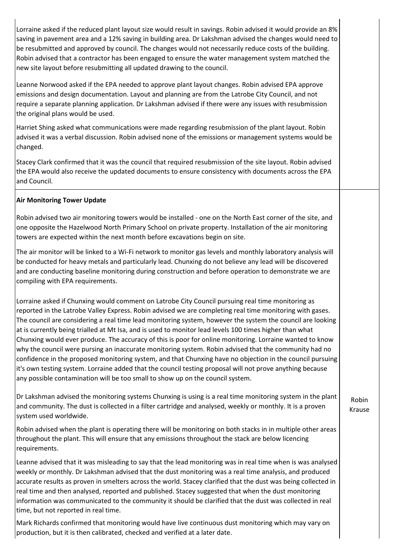Lorraine asked if the reduced plant layout size would result in savings. Robin advised it would provide an 8% saving in pavement area and a 12% saving in building area. Dr Lakshman advised the changes would need to be resubmitted and approved by council. The changes would not necessarily reduce costs of the building. Robin advised that a contractor has been engaged to ensure the water management system matched the new site layout before resubmitting all updated drawing to the council.

Leanne Norwood asked if the EPA needed to approve plant layout changes. Robin advised EPA approve emissions and design documentation. Layout and planning are from the Latrobe City Council, and not require a separate planning application. Dr Lakshman advised if there were any issues with resubmission the original plans would be used.

Harriet Shing asked what communications were made regarding resubmission of the plant layout. Robin advised it was a verbal discussion. Robin advised none of the emissions or management systems would be changed.

Stacey Clark confirmed that it was the council that required resubmission of the site layout. Robin advised the EPA would also receive the updated documents to ensure consistency with documents across the EPA and Council.

## **Air Monitoring Tower Update**

Robin advised two air monitoring towers would be installed - one on the North East corner of the site, and one opposite the Hazelwood North Primary School on private property. Installation of the air monitoring towers are expected within the next month before excavations begin on site.

The air monitor will be linked to a Wi-Fi network to monitor gas levels and monthly laboratory analysis will be conducted for heavy metals and particularly lead. Chunxing do not believe any lead will be discovered and are conducting baseline monitoring during construction and before operation to demonstrate we are compiling with EPA requirements.

Lorraine asked if Chunxing would comment on Latrobe City Council pursuing real time monitoring as reported in the Latrobe Valley Express. Robin advised we are completing real time monitoring with gases. The council are considering a real time lead monitoring system, however the system the council are looking at is currently being trialled at Mt Isa, and is used to monitor lead levels 100 times higher than what Chunxing would ever produce. The accuracy of this is poor for online monitoring. Lorraine wanted to know why the council were pursing an inaccurate monitoring system. Robin advised that the community had no confidence in the proposed monitoring system, and that Chunxing have no objection in the council pursuing it's own testing system. Lorraine added that the council testing proposal will not prove anything because any possible contamination will be too small to show up on the council system.

Dr Lakshman advised the monitoring systems Chunxing is using is a real time monitoring system in the plant and community. The dust is collected in a filter cartridge and analysed, weekly or monthly. It is a proven system used worldwide.

Robin advised when the plant is operating there will be monitoring on both stacks in in multiple other areas throughout the plant. This will ensure that any emissions throughout the stack are below licencing requirements.

Leanne advised that it was misleading to say that the lead monitoring was in real time when is was analysed weekly or monthly. Dr Lakshman advised that the dust monitoring was a real time analysis, and produced accurate results as proven in smelters across the world. Stacey clarified that the dust was being collected in real time and then analysed, reported and published. Stacey suggested that when the dust monitoring information was communicated to the community it should be clarified that the dust was collected in real time, but not reported in real time.

Mark Richards confirmed that monitoring would have live continuous dust monitoring which may vary on production, but it is then calibrated, checked and verified at a later date.

Robin Krause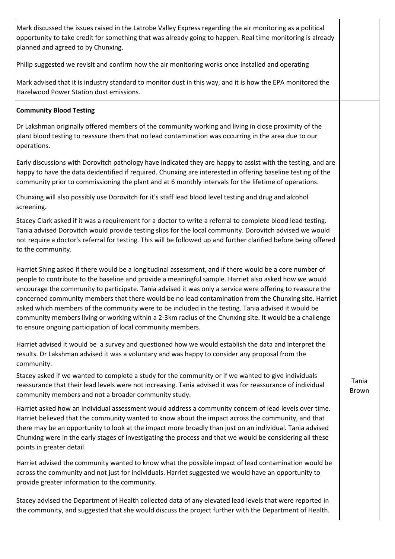Mark discussed the issues raised in the Latrobe Valley Express regarding the air monitoring as a political opportunity to take credit for something that was already going to happen. Real time monitoring is already planned and agreed to by Chunxing.

Philip suggested we revisit and confirm how the air monitoring works once installed and operating

Mark advised that it is industry standard to monitor dust in this way, and it is how the EPA monitored the Hazelwood Power Station dust emissions.

## **Community Blood Testing**

Dr Lakshman originally offered members of the community working and living in close proximity of the plant blood testing to reassure them that no lead contamination was occurring in the area due to our operations.

Early discussions with Dorovitch pathology have indicated they are happy to assist with the testing, and are happy to have the data deidentified if required. Chunxing are interested in offering baseline testing of the community prior to commissioning the plant and at 6 monthly intervals for the lifetime of operations.

Chunxing will also possibly use Dorovitch for it's staff lead blood level testing and drug and alcohol screening.

Stacey Clark asked if it was a requirement for a doctor to write a referral to complete blood lead testing. Tania advised Dorovitch would provide testing slips for the local community. Dorovitch advised we would not require a doctor's referral for testing. This will be followed up and further clarified before being offered to the community.

Harriet Shing asked if there would be a longitudinal assessment, and if there would be a core number of people to contribute to the baseline and provide a meaningful sample. Harriet also asked how we would encourage the community to participate. Tania advised it was only a service were offering to reassure the concerned community members that there would be no lead contamination from the Chunxing site. Harriet asked which members of the community were to be included in the testing. Tania advised it would be community members living or working within a 2-3km radius of the Chunxing site. It would be a challenge to ensure ongoing participation of local community members.

Harriet advised it would be a survey and questioned how we would establish the data and interpret the results. Dr Lakshman advised it was a voluntary and was happy to consider any proposal from the community.

Stacey asked if we wanted to complete a study for the community or if we wanted to give individuals reassurance that their lead levels were not increasing. Tania advised it was for reassurance of individual community members and not a broader community study.

Harriet asked how an individual assessment would address a community concern of lead levels over time. Harriet believed that the community wanted to know about the impact across the community, and that there may be an opportunity to look at the impact more broadly than just on an individual. Tania advised Chunxing were in the early stages of investigating the process and that we would be considering all these points in greater detail.

Harriet advised the community wanted to know what the possible impact of lead contamination would be across the community and not just for individuals. Harriet suggested we would have an opportunity to provide greater information to the community.

Stacey advised the Department of Health collected data of any elevated lead levels that were reported in the community, and suggested that she would discuss the project further with the Department of Health.

Tania Brown